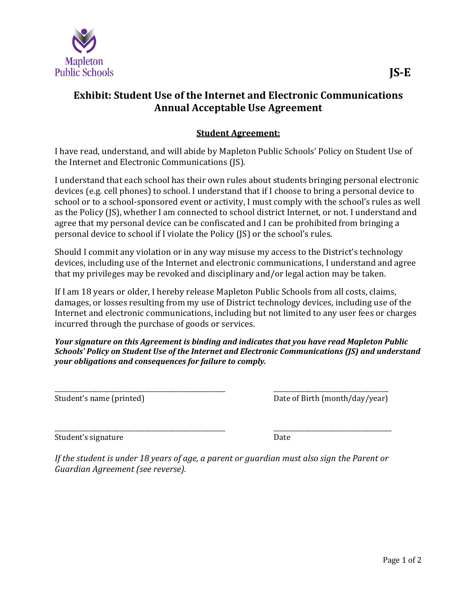

## **Exhibit: Student Use of the Internet and Electronic Communications Annual Acceptable Use Agreement**

## **Student Agreement:**

I have read, understand, and will abide by Mapleton Public Schools' Policy on Student Use of the Internet and Electronic Communications (JS).

I understand that each school has their own rules about students bringing personal electronic devices (e.g. cell phones) to school. I understand that if I choose to bring a personal device to school or to a school-sponsored event or activity, I must comply with the school's rules as well as the Policy (JS), whether I am connected to school district Internet, or not. I understand and agree that my personal device can be confiscated and I can be prohibited from bringing a personal device to school if I violate the Policy (JS) or the school's rules.

Should I commit any violation or in any way misuse my access to the District's technology devices, including use of the Internet and electronic communications, I understand and agree that my privileges may be revoked and disciplinary and/or legal action may be taken.

If I am 18 years or older, I hereby release Mapleton Public Schools from all costs, claims, damages, or losses resulting from my use of District technology devices, including use of the Internet and electronic communications, including but not limited to any user fees or charges incurred through the purchase of goods or services.

*Your signature on this Agreement is binding and indicates that you have read Mapleton Public Schools' Policy on Student Use of the Internet and Electronic Communications (JS) and understand your obligations and consequences for failure to comply.*

\_\_\_\_\_\_\_\_\_\_\_\_\_\_\_\_\_\_\_\_\_\_\_\_\_\_\_\_\_\_\_\_\_\_\_\_\_\_\_\_\_\_\_\_\_\_\_\_\_\_\_\_\_\_\_ \_\_\_\_\_\_\_\_\_\_\_\_\_\_\_\_\_\_\_\_\_\_\_\_\_\_\_\_\_\_\_\_\_\_\_\_\_

Student's name (printed) Date of Birth (month/day/year)

\_\_\_\_\_\_\_\_\_\_\_\_\_\_\_\_\_\_\_\_\_\_\_\_\_\_\_\_\_\_\_\_\_\_\_\_\_\_\_\_\_\_\_\_\_\_\_\_\_\_\_\_\_\_\_ \_\_\_\_\_\_\_\_\_\_\_\_\_\_\_\_\_\_\_\_\_\_\_\_\_\_\_\_\_\_\_\_\_\_\_\_\_\_ Student's signature Date

*If the student is under 18 years of age, a parent or guardian must also sign the Parent or Guardian Agreement (see reverse).*